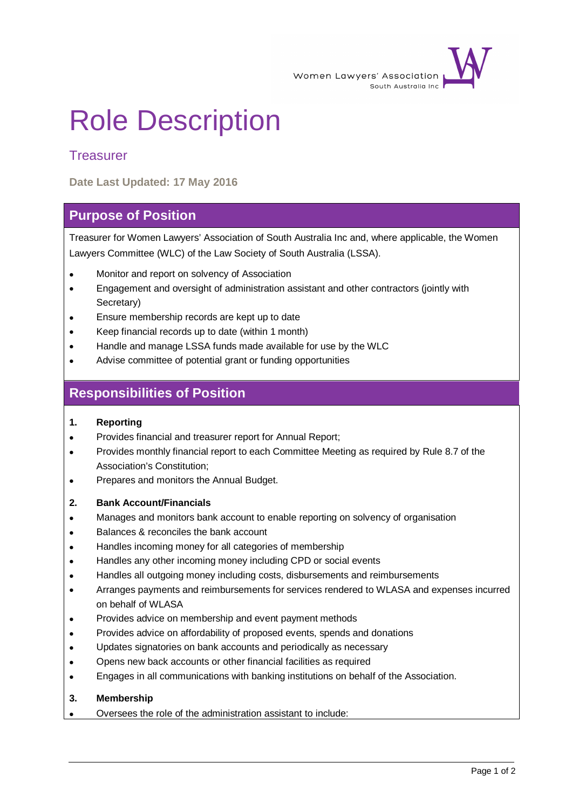

# Role Description

## **Treasurer**

**Date Last Updated: 17 May 2016**

## **Purpose of Position**

Treasurer for Women Lawyers' Association of South Australia Inc and, where applicable, the Women Lawyers Committee (WLC) of the Law Society of South Australia (LSSA).

- Monitor and report on solvency of Association
- Engagement and oversight of administration assistant and other contractors (jointly with Secretary)
- Ensure membership records are kept up to date
- Keep financial records up to date (within 1 month)
- Handle and manage LSSA funds made available for use by the WLC
- Advise committee of potential grant or funding opportunities

## **Responsibilities of Position**

#### **1. Reporting**

- Provides financial and treasurer report for Annual Report;
- Provides monthly financial report to each Committee Meeting as required by Rule 8.7 of the Association's Constitution;
- Prepares and monitors the Annual Budget.

#### **2. Bank Account/Financials**

- Manages and monitors bank account to enable reporting on solvency of organisation
- Balances & reconciles the bank account
- Handles incoming money for all categories of membership
- Handles any other incoming money including CPD or social events
- Handles all outgoing money including costs, disbursements and reimbursements
- Arranges payments and reimbursements for services rendered to WLASA and expenses incurred on behalf of WLASA
- Provides advice on membership and event payment methods
- Provides advice on affordability of proposed events, spends and donations
- Updates signatories on bank accounts and periodically as necessary
- Opens new back accounts or other financial facilities as required
- Engages in all communications with banking institutions on behalf of the Association.

#### **3. Membership**

Oversees the role of the administration assistant to include: